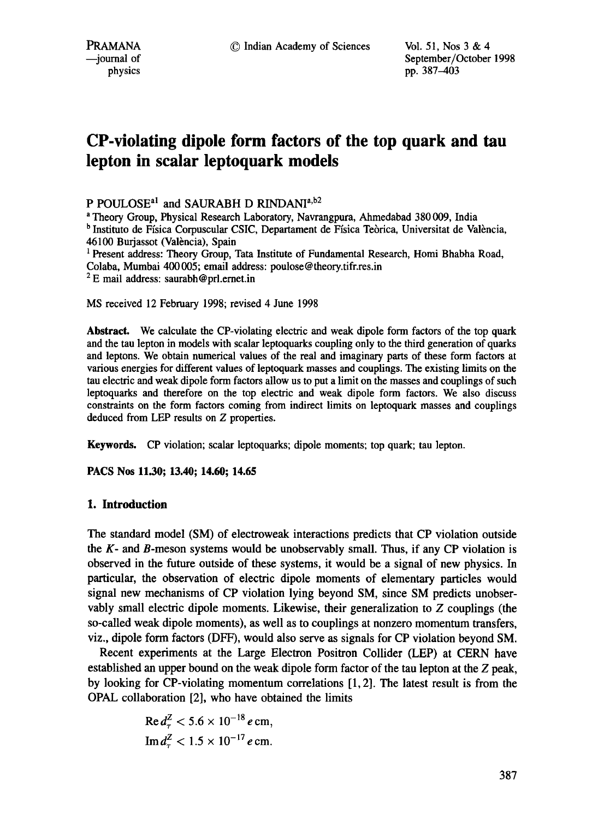PRAMANA <sup>9</sup> <sup>©</sup> Indian Academy of Sciences Vol. 51, Nos 3 & 4<br>
9 iournal of September/October urnal of September/October 1998<br>
physics by the September/October 1998<br>
pp. 387–403 pp. 387-403

# **CP-violating dipole form factors of the top quark and tau lepton in scalar leptoquark models**

P POULOSE<sup>a1</sup> and SAURABH D RINDANI<sup>a,b2</sup>

a Theory Group, Physical Research Laboratory, Navrangpura, Ahmedabad 380 009, India b Instituto de Ffsica Corpuscular CSIC, Departament de Fisica Tebrica, Universitat de Valbncia, 46100 Burjassot (Valencia), Spain <sup>1</sup> Present address: Theory Group, Tata Institute of Fundamental Research, Homi Bhabha Road,

Colaba, Mumbai 400005; email address: poulose@theory.tifr.res.in

 $2 E$  mail address: saurabh@prl.ernet.in

MS received 12 February 1998; revised 4 June 1998

**Abstract.** We calculate the CP-violating electric and weak dipole form factors of the top quark and the tau lepton in models with scalar leptoquarks coupling only to the third generation of quarks and leptons. We obtain numerical values of the real and imaginary parts of these form factors at various energies for different values of leptoquark masses and couplings. The existing limits on the tau electric and weak dipole form factors allow us to put a limit on the masses and couplings of such leptoquarks and therefore on the top electric and weak dipole form factors. We also discuss constraints on the form factors coming from indirect limits on leptoquark masses and couplings deduced from LEP results on Z properties.

Keywords. CP violation; scalar leptoquarks; dipole moments; top quark; tan lepton.

**PACS Nos 11.30; 13.40; 14.60; 14.65** 

### **1. Introduction**

The standard model (SM) of electroweak interactions predicts that CP violation outside the K- and B-meson systems would be unobservably small. Thus, if any CP violation is observed in the future outside of these systems, it would be a signal of new physics. In particular, the observation of electric dipole moments of elementary particles would signal new mechanisms of CP violation lying beyond SM, since SM predicts unobservably small electric dipole moments. Likewise, their generalization to Z couplings (the so-called weak dipole moments), as well as to couplings at nonzero momentum transfers, viz., dipole form factors (DFF), would also serve as signals for CP violation beyond SM.

Recent experiments at the Large Electron Positron Collider (LEP) at CERN have established an upper bound on the weak dipole form factor of the tau lepton at the Z peak, by looking for CP-violating momentum correlations [1, 2]. The latest result is from the OPAL collaboration [2], who have obtained the limits

Re 
$$
d_{\tau}^{Z}
$$
 < 5.6 × 10<sup>-18</sup> e cm,  
Im  $d_{\tau}^{Z}$  < 1.5 × 10<sup>-17</sup> e cm.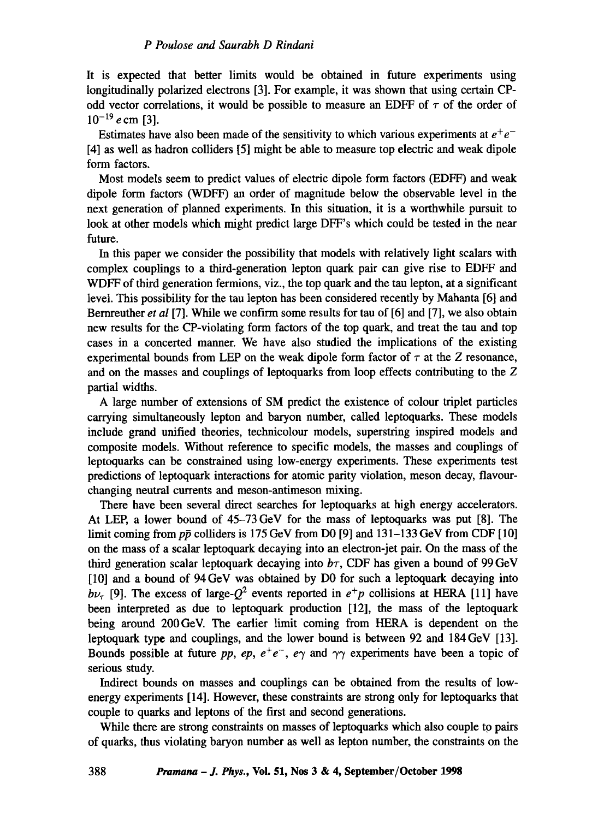It is expected that better limits would be obtained in future experiments using longitudinally polarized electrons [3]. For example, it was shown that using certain CPodd vector correlations, it would be possible to measure an EDFF of  $\tau$  of the order of  $10^{-19}$  e cm [3].

Estimates have also been made of the sensitivity to which various experiments at  $e^+e^-$ [4] as well as hadron colliders [5] might be able to measure top electric and weak dipole form factors.

Most models seem to predict values of electric dipole form factors (EDFF) and weak dipole form factors (WDFF) an order of magnitude below the observable level in the next generation of planned experiments. In this situation, it is a worthwhile pursuit to look at other models which might predict large DFF's which could be tested in the near future.

In this paper we consider the possibility that models with relatively light scalars with complex couplings to a third-generation lepton quark pair can give rise to EDFF and WDFF of third generation fermions, viz., the top quark and the tau lepton, at a significant level. This possibility for the tau lepton has been considered recently by Mahanta [6] and Bemreuther *et al* [7]. While we confirm some results for tau of [6] and [7], we also obtain new results for the CP-violating form factors of the top quark, and treat the tau and top cases in a concerted manner. We have also studied the implications of the existing experimental bounds from LEP on the weak dipole form factor of  $\tau$  at the Z resonance, and on the masses and couplings of leptoquarks from loop effects contributing to the Z partial widths.

A large number of extensions of SM predict the existence of colour triplet particles carrying simultaneously lepton and baryon number, called leptoquarks. These models include grand unified theories, technicolour models, superstring inspired models and composite models. Without reference to specific models, the masses and couplings of leptoquarks can be constrained using low-energy experiments. These experiments test predictions of leptoquark interactions for atomic parity violation, meson decay, flavourchanging neutral currents and meson-antimeson mixing.

There have been several direct searches for leptoquarks at high energy accelerators. At LEP, a lower bound of 45-73 GeV for the mass of leptoquarks was put [8]. The limit coming from  $p\bar{p}$  colliders is 175 GeV from D0 [9] and 131–133 GeV from CDF [10] on the mass of a scalar leptoquark decaying into an electron-jet pair. On the mass of the third generation scalar leptoquark decaying into  $b\tau$ , CDF has given a bound of 99 GeV [10] and a bound of 94 GeV was obtained by D0 for such a leptoquark decaying into  $b\nu_{\tau}$  [9]. The excess of large- $O^2$  events reported in  $e^+p$  collisions at HERA [11] have been interpreted as due to leptoquark production [12], the mass of the leptoquark being around 200GeV. The earlier limit coming from HERA is dependent on the leptoquark type and couplings, and the lower bound is between 92 and 184GeV [13]. Bounds possible at future *pp, ep, e<sup>+</sup>e*<sup>-</sup>, e<sub> $\gamma$ </sub> and  $\gamma\gamma$  experiments have been a topic of serious study.

Indirect bounds on masses and couplings can be obtained from the results of lowenergy experiments [14]. However, these constraints are strong only for leptoquarks that couple to quarks and leptons of the first and second generations.

While there are strong constraints on masses of leptoquarks which also couple to pairs of quarks, thus violating baryon number as well as lepton number, the constraints on the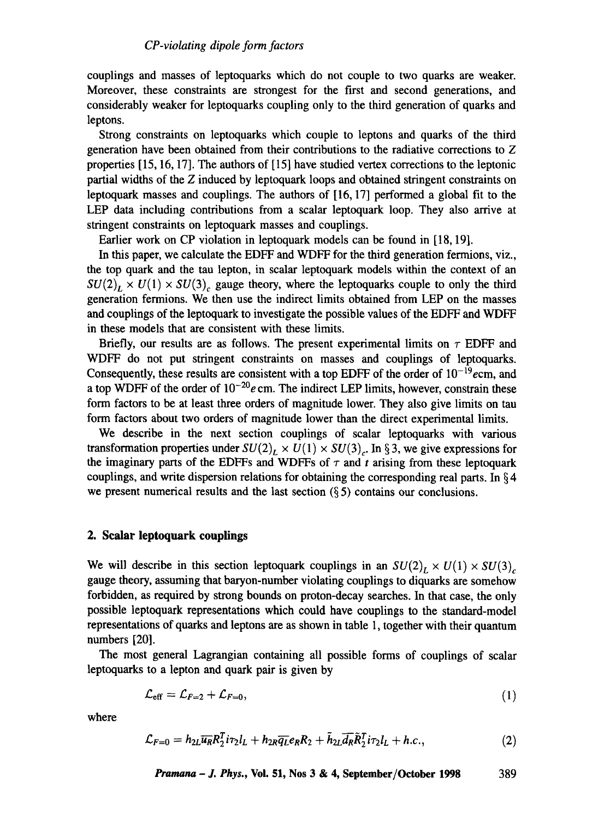couplings and masses of leptoquarks which do not couple to two quarks are weaker. Moreover, these constraints are strongest for the first and second generations, and considerably weaker for leptoquarks coupling only to the third generation of quarks and leptons.

Strong constraints on leptoquarks which couple to leptons and quarks of the third generation have been obtained from their contributions to the radiative corrections to Z properties [15, 16, 17]. The authors of [15] have studied vertex corrections to the leptonic partial widths of the Z induced by leptoquark loops and obtained stringent constraints on leptoquark masses and couplings. The authors of [16, 17] performed a global fit to the LEP data including contributions from a scalar leptoquark loop. They also arrive at stringent constraints on leptoquark masses and couplings.

Earlier work on CP violation in leptoquark models can be found in [18, 19].

In this paper, we calculate the EDFF and WDFF for the third generation fermions, viz., the top quark and the tau lepton, in scalar leptoquark models within the context of an  $SU(2)_L \times U(1) \times SU(3)$ , gauge theory, where the leptoquarks couple to only the third generation fermions. We then use the indirect limits obtained from LEP on the masses and couplings of the leptoquark to investigate the possible values of the EDFF and WDFF in these models that are consistent with these limits.

Briefly, our results are as follows. The present experimental limits on  $\tau$  EDFF and WDFF do not put stringent constraints on masses and couplings of leptoquarks. Consequently, these results are consistent with a top EDFF of the order of  $10^{-19}$ ecm, and a top WDFF of the order of  $10^{-20}$ e cm. The indirect LEP limits, however, constrain these form factors to be at least three orders of magnitude lower. They also give limits on tan form factors about two orders of magnitude lower than the direct experimental limits.

We describe in the next section couplings of scalar leptoquarks with various transformation properties under  $SU(2)_L \times U(1) \times SU(3)_c$ . In §3, we give expressions for the imaginary parts of the EDFFs and WDFFs of  $\tau$  and t arising from these leptoquark couplings, and write dispersion relations for obtaining the corresponding real parts. In  $64$ we present numerical results and the last section  $(\S 5)$  contains our conclusions.

## **2. Scalar leptoquark couplings**

We will describe in this section leptoquark couplings in an  $SU(2)_L \times U(1) \times SU(3)_c$ gauge theory, assuming that baryon-number violating couplings to diquarks are somehow forbidden, as required by strong bounds on proton-decay searches. In that case, the only possible leptoquark representations which could have couplings to the standard-model representations of quarks and leptons are as shown in table 1, together with their quantum numbers [20].

The most general Lagrangian containing all possible forms of couplings of scalar leptoquarks to a lepton and quark pair is given by

$$
\mathcal{L}_{\text{eff}} = \mathcal{L}_{F=2} + \mathcal{L}_{F=0},\tag{1}
$$

where

$$
\mathcal{L}_{F=0} = h_{2L} \overline{u_R} R_2^T i \tau_2 l_L + h_{2R} \overline{q_L} e_R R_2 + \tilde{h}_{2L} \overline{d_R} \tilde{R}_2^T i \tau_2 l_L + h.c., \qquad (2)
$$

*Pramana – J. Phys.*, Vol. 51, Nos 
$$
3 & 4
$$
, September/October 1998 389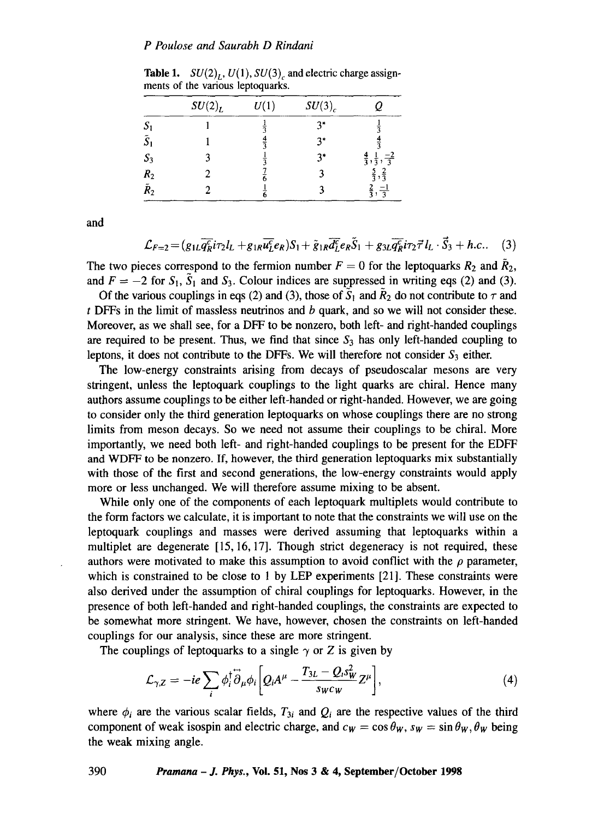#### *P Poulose and Saurabh D Rindani*

|                    | $SU(2)_L$ | U(1) | $SU(3)_{c}$ |                                          |
|--------------------|-----------|------|-------------|------------------------------------------|
| S                  |           |      | $3*$        |                                          |
| $\tilde{S}_1$      |           |      | $3*$        |                                          |
| $S_3$              |           |      | $3*$        | $\frac{4}{3}, \frac{1}{3}, \frac{-2}{3}$ |
| $\boldsymbol{R}_2$ |           |      |             | $,\frac{2}{3}$<br>$\frac{5}{3}$          |
| $\tilde{R}_2$      |           |      |             | $\frac{-1}{3}$                           |

Table 1.  $SU(2)_L$ ,  $U(1)$ ,  $SU(3)_c$  and electric charge assignments of the various leptoquarks.

and

$$
\mathcal{L}_{F=2} = (g_{1L}\overline{q_R^c}i\tau_2l_L + g_{1R}\overline{u_L^c}e_R)S_1 + \tilde{g}_{1R}\overline{d_L^c}e_R\tilde{S}_1 + g_{3L}\overline{q_R^c}i\tau_2\vec{\tau}l_L \cdot \vec{S}_3 + h.c.. \quad (3)
$$

The two pieces correspond to the fermion number  $F = 0$  for the leptoquarks  $R_2$  and  $\tilde{R}_2$ , and  $F = -2$  for  $S_1$ ,  $\tilde{S}_1$  and  $S_3$ . Colour indices are suppressed in writing eqs (2) and (3).

Of the various couplings in eqs (2) and (3), those of  $\bar{S}_1$  and  $\bar{R}_2$  do not contribute to  $\tau$  and  $t$  DFFs in the limit of massless neutrinos and  $b$  quark, and so we will not consider these. Moreover, as we shall see, for a DFF to be nonzero, both left- and right-handed couplings are required to be present. Thus, we find that since  $S_3$  has only left-handed coupling to leptons, it does not contribute to the DFFs. We will therefore not consider  $S_3$  either.

The low-energy constraints arising from decays of pseudoscalar mesons are very stringent, unless the leptoquark couplings to the light quarks are chiral. Hence many authors assume couplings to be either left-handed or right-handed. However, we are going to consider only the third generation leptoquarks on whose couplings there are no strong limits from meson decays. So we need not assume their couplings to be chiral. More importantly, we need both left- and right-handed couplings to be present for the EDFF and WDFF to be nonzero. If, however, the third generation leptoquarks mix substantially with those of the first and second generations, the low-energy constraints would apply more or less unchanged. We will therefore assume mixing to be absent.

While only one of the components of each leptoquark multiplets would contribute to the form factors we calculate, it is important to note that the constraints we will use on the leptoquark couplings and masses were derived assuming that leptoquarks within a multiplet are degenerate [15, 16, 17]. Though strict degeneracy is not required, these authors were motivated to make this assumption to avoid conflict with the  $\rho$  parameter, which is constrained to be close to 1 by LEP experiments [21]. These constraints were also derived under the assumption of chiral couplings for leptoquarks. However, in the presence of both left-handed and right-handed couplings, the constraints are expected to be somewhat more stringent. We have, however, chosen the constraints on left-handed couplings for our analysis, since these are more stringent.

The couplings of leptoquarks to a single  $\gamma$  or Z is given by

$$
\mathcal{L}_{\gamma,Z} = -ie \sum_{i} \phi_i^{\dagger} \overleftrightarrow{\partial}_{\mu} \phi_i \bigg[ Q_i A^{\mu} - \frac{T_{3L} - Q_i s_W^2}{s_W c_W} Z^{\mu} \bigg], \tag{4}
$$

where  $\phi_i$  are the various scalar fields,  $T_{3i}$  and  $Q_i$  are the respective values of the third component of weak isospin and electric charge, and  $c_W = \cos \theta_W$ ,  $s_W = \sin \theta_W$ ,  $\theta_W$  being the weak mixing angle.

**390** *Pramana - J. Phys.,* **Vol. 51, Nos 3 & 4, September/October 1998**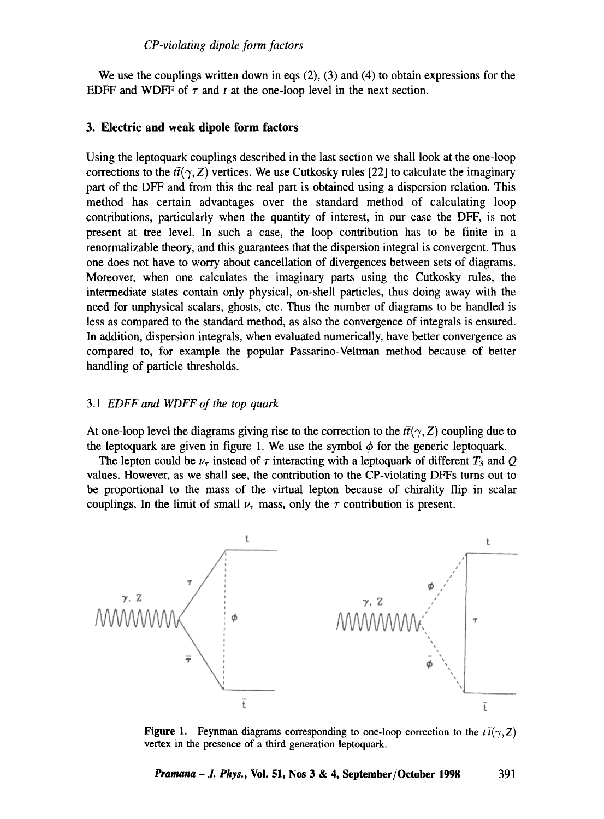We use the couplings written down in eqs (2), (3) and (4) to obtain expressions for the EDFF and WDFF of  $\tau$  and t at the one-loop level in the next section.

#### **3. Electric and weak dipole form factors**

Using the leptoquark couplings described in the last section we shall look at the one-loop corrections to the  $t\bar{t}(\gamma, Z)$  vertices. We use Cutkosky rules [22] to calculate the imaginary part of the DFF and from this the real part is obtained using a dispersion relation. This method has certain advantages over the standard method of calculating loop contributions, particularly when the quantity of interest, in our case the DFF, is not present at tree level. In such a case, the loop contribution has to be finite in a renormalizable theory, and this guarantees that the dispersion integral is convergent. Thus one does not have to worry about cancellation of divergences between sets of diagrams. Moreover, when one calculates the imaginary parts using the Cutkosky rules, the intermediate states contain only physical, on-shell particles, thus doing away with the need for unphysical scalars, ghosts, etc. Thus the number of diagrams to be handled is less as compared to the standard method, as also the convergence of integrals is ensured. In addition, dispersion integrals, when evaluated numerically, have better convergence as compared to, for example the popular Passarino-Veltman method because of better handling of particle thresholds.

## *3.1 EDFF and WDFF of the top quark*

At one-loop level the diagrams giving rise to the correction to the  $t\bar{t}(\gamma, Z)$  coupling due to the leptoquark are given in figure 1. We use the symbol  $\phi$  for the generic leptoquark.

The lepton could be  $\nu_{\tau}$  instead of  $\tau$  interacting with a leptoquark of different  $T_3$  and  $Q$ values. However, as we shall see, the contribution to the CP-violating DFFs turns out to be proportional to the mass of the virtual lepton because of chirality flip in scalar couplings. In the limit of small  $\nu_{\tau}$  mass, only the  $\tau$  contribution is present.



**Figure 1.** Feynman diagrams corresponding to one-loop correction to the  $t\bar{t}(\gamma, Z)$ vertex in the presence of a third generation leptoquark.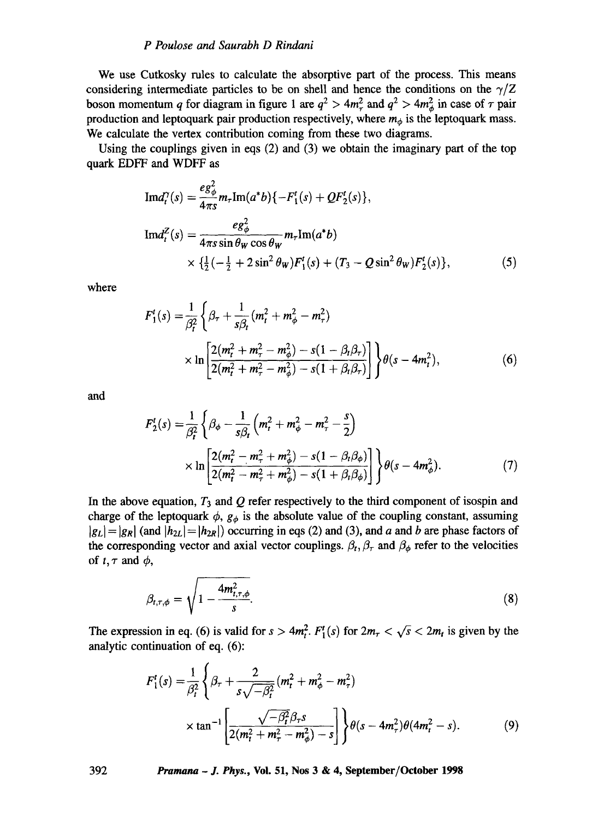#### *P Poulose and Saurabh D Rindani*

We use Cutkosky rules to calculate the absorptive part of the process. This means considering intermediate particles to be on shell and hence the conditions on the  $\gamma/Z$ boson momentum q for diagram in figure 1 are  $q^2 > 4m_\tau^2$  and  $q^2 > 4m_\phi^2$  in case of  $\tau$  pair production and leptoquark pair production respectively, where  $m_{\phi}$  is the leptoquark mass. We calculate the vertex contribution coming from these two diagrams.

Using the couplings given in eqs (2) and (3) we obtain the imaginary part of the top quark EDFF and WDFF as

$$
\text{Im}d_{t}^{\gamma}(s) = \frac{e g_{\phi}^{2}}{4\pi s} m_{\tau} \text{Im}(a^{*}b) \{-F_{1}^{t}(s) + Q F_{2}^{t}(s)\},
$$
\n
$$
\text{Im}d_{t}^{Z}(s) = \frac{e g_{\phi}^{2}}{4\pi s \sin \theta_{W} \cos \theta_{W}} m_{\tau} \text{Im}(a^{*}b)
$$
\n
$$
\times \left\{ \frac{1}{2} \left( -\frac{1}{2} + 2 \sin^{2} \theta_{W} \right) F_{1}^{t}(s) + \left( T_{3} - Q \sin^{2} \theta_{W} \right) F_{2}^{t}(s) \right\},
$$
\n(5)

where

$$
F'_{1}(s) = \frac{1}{\beta_{t}^{2}} \left\{ \beta_{\tau} + \frac{1}{s\beta_{t}} (m_{t}^{2} + m_{\phi}^{2} - m_{\tau}^{2}) \right\}
$$
  
 
$$
\times \ln \left[ \frac{2(m_{t}^{2} + m_{\tau}^{2} - m_{\phi}^{2}) - s(1 - \beta_{t}\beta_{\tau})}{2(m_{t}^{2} + m_{\tau}^{2} - m_{\phi}^{2}) - s(1 + \beta_{t}\beta_{\tau})} \right] \right\} \theta(s - 4m_{t}^{2}),
$$
 (6)

and

$$
F_2'(s) = \frac{1}{\beta_t^2} \left\{ \beta_\phi - \frac{1}{s\beta_t} \left( m_t^2 + m_\phi^2 - m_\tau^2 - \frac{s}{2} \right) \times \ln \left[ \frac{2(m_t^2 - m_\tau^2 + m_\phi^2) - s(1 - \beta_t \beta_\phi)}{2(m_t^2 - m_\tau^2 + m_\phi^2) - s(1 + \beta_t \beta_\phi)} \right] \right\} \theta(s - 4m_\phi^2).
$$
 (7)

In the above equation,  $T_3$  and  $Q$  refer respectively to the third component of isospin and charge of the leptoquark  $\phi$ ,  $g_{\phi}$  is the absolute value of the coupling constant, assuming  $|g_L| = |g_R|$  (and  $|h_{2L}| = |h_{2R}|\rangle$ ) occurring in eqs (2) and (3), and a and b are phase factors of the corresponding vector and axial vector couplings.  $\beta_t$ ,  $\beta_{\tau}$  and  $\beta_{\phi}$  refer to the velocities of  $t, \tau$  and  $\phi$ ,

$$
\beta_{t,\tau,\phi} = \sqrt{1 - \frac{4m_{t,\tau,\phi}^2}{s}}.\tag{8}
$$

The expression in eq. (6) is valid for  $s > 4m_t^2$ .  $F_1^t(s)$  for  $2m_\tau < \sqrt{s} < 2m_t$  is given by the analytic continuation of eq. (6):

$$
F_1^t(s) = \frac{1}{\beta_t^2} \left\{ \beta_\tau + \frac{2}{s\sqrt{-\beta_t^2}} (m_t^2 + m_\phi^2 - m_\tau^2) \right\}
$$
  
 
$$
\times \tan^{-1} \left[ \frac{\sqrt{-\beta_t^2} \beta_\tau s}{2(m_t^2 + m_\tau^2 - m_\phi^2) - s} \right] \left\} \theta(s - 4m_\tau^2) \theta(4m_t^2 - s). \tag{9}
$$

**392** *Pramana - J. Phys.,* **Vol. 51, Nos 3 & 4, September/October 1998**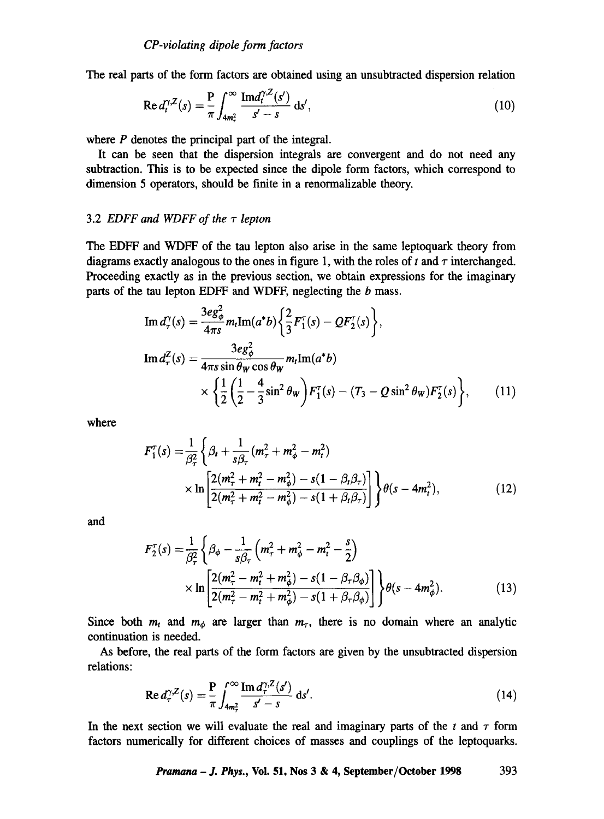The real parts of the form factors are obtained using an unsubtracted dispersion relation

$$
\operatorname{Re} d_t^{\gamma, Z}(s) = \frac{P}{\pi} \int_{4m_\tau^2}^{\infty} \frac{\operatorname{Im} d_t^{\gamma, Z}(s')}{s' - s} \, \mathrm{d}s',\tag{10}
$$

where  $P$  denotes the principal part of the integral.

It can be seen that the dispersion integrals are convergent and do not need any subtraction. This is to be expected since the dipole form factors, which correspond to dimension 5 operators, should be finite in a renormalizable theory.

#### 3.2 *EDFF and WDFF of the*  $\tau$  *lepton*

The EDFF and WDFF of the tau lepton also arise in the same leptoquark theory from diagrams exactly analogous to the ones in figure 1, with the roles of t and  $\tau$  interchanged. Proceeding exactly as in the previous section, we obtain expressions for the imaginary parts of the tau lepton EDFF and WDFF, neglecting the b mass.

$$
\text{Im } d_{\tau}^{\gamma}(s) = \frac{3eg_{\phi}^{2}}{4\pi s} m_{t} \text{Im}(a^{*}b) \left\{ \frac{2}{3} F_{1}^{\tau}(s) - Q F_{2}^{\tau}(s) \right\},
$$
\n
$$
\text{Im } d_{\tau}^{Z}(s) = \frac{3eg_{\phi}^{2}}{4\pi s \sin \theta_{W} \cos \theta_{W}} m_{t} \text{Im}(a^{*}b)
$$
\n
$$
\times \left\{ \frac{1}{2} \left( \frac{1}{2} - \frac{4}{3} \sin^{2} \theta_{W} \right) F_{1}^{\tau}(s) - (T_{3} - Q \sin^{2} \theta_{W}) F_{2}^{\tau}(s) \right\}, \qquad (11)
$$

where

$$
F_1^{\tau}(s) = \frac{1}{\beta_{\tau}^2} \left\{ \beta_t + \frac{1}{s\beta_{\tau}} (m_{\tau}^2 + m_{\phi}^2 - m_t^2) \right. \\ \times \ln \left[ \frac{2(m_{\tau}^2 + m_t^2 - m_{\phi}^2) - s(1 - \beta_t \beta_{\tau})}{2(m_{\tau}^2 + m_t^2 - m_{\phi}^2) - s(1 + \beta_t \beta_{\tau})} \right] \right\} \theta(s - 4m_t^2), \tag{12}
$$

**and** 

$$
F_2^{\tau}(s) = \frac{1}{\beta_{\tau}^2} \left\{ \beta_{\phi} - \frac{1}{s\beta_{\tau}} \left( m_{\tau}^2 + m_{\phi}^2 - m_{t}^2 - \frac{s}{2} \right) \times \ln \left[ \frac{2(m_{\tau}^2 - m_{t}^2 + m_{\phi}^2) - s(1 - \beta_{\tau}\beta_{\phi})}{2(m_{\tau}^2 - m_{t}^2 + m_{\phi}^2) - s(1 + \beta_{\tau}\beta_{\phi})} \right] \right\} \theta(s - 4m_{\phi}^2).
$$
 (13)

Since both  $m_t$  and  $m_\phi$  are larger than  $m_\tau$ , there is no domain where an analytic continuation is needed.

As before, the real parts of the form factors are given by the unsubtracted dispersion relations:

$$
\operatorname{Re} d_{\tau}^{\gamma, Z}(s) = \frac{P}{\pi} \int_{4m_{\tau}^2}^{\infty} \frac{\operatorname{Im} d_{\tau}^{\gamma, Z}(s')}{s' - s} \, \mathrm{d}s'. \tag{14}
$$

In the next section we will evaluate the real and imaginary parts of the  $t$  and  $\tau$  form factors numerically for different choices of masses and couplings of the leptoquarks.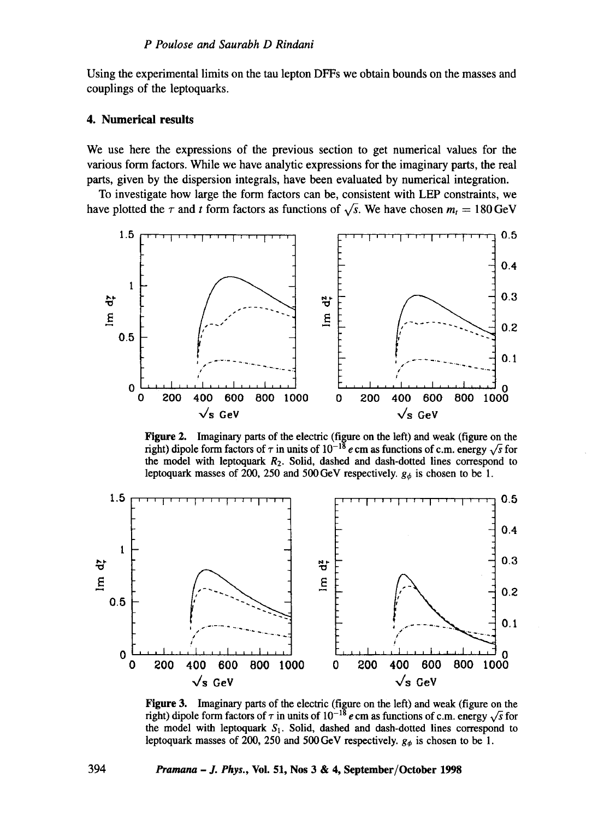Using the experimental limits on the tau lepton DFFs we obtain bounds on the masses and couplings of the leptoquarks.

## 4. Numerical results

We use here the expressions of the previous section to get numerical values for the various form factors. While we have analytic expressions for the imaginary parts, the real parts, given by the dispersion integrals, have been evaluated by numerical integration.

To investigate how large the form factors can be, consistent with LEP constraints, we have plotted the  $\tau$  and t form factors as functions of  $\sqrt{s}$ . We have chosen  $m_t = 180 \text{ GeV}$ 



Figure 2. Imaginary parts of the electric (figure on the left) and weak (figure on the right) dipole form factors of  $\tau$  in units of  $10^{-18}$  e cm as functions of c.m. energy  $\sqrt{s}$  for the model with leptoquark  $R_2$ . Solid, dashed and dash-dotted lines correspond to leptoquark masses of 200, 250 and 500 GeV respectively.  $g_{\phi}$  is chosen to be 1.



**Figure 3.** Imaginary parts of the electric (figure on the left) and weak (figure on the right) dipole form factors of  $\tau$  in units of  $10^{-18}$  e cm as functions of c.m. energy  $\sqrt{s}$  for the model with leptoquark  $S_1$ . Solid, dashed and dash-dotted lines correspond to leptoquark masses of 200, 250 and 500 GeV respectively.  $g_{\phi}$  is chosen to be 1.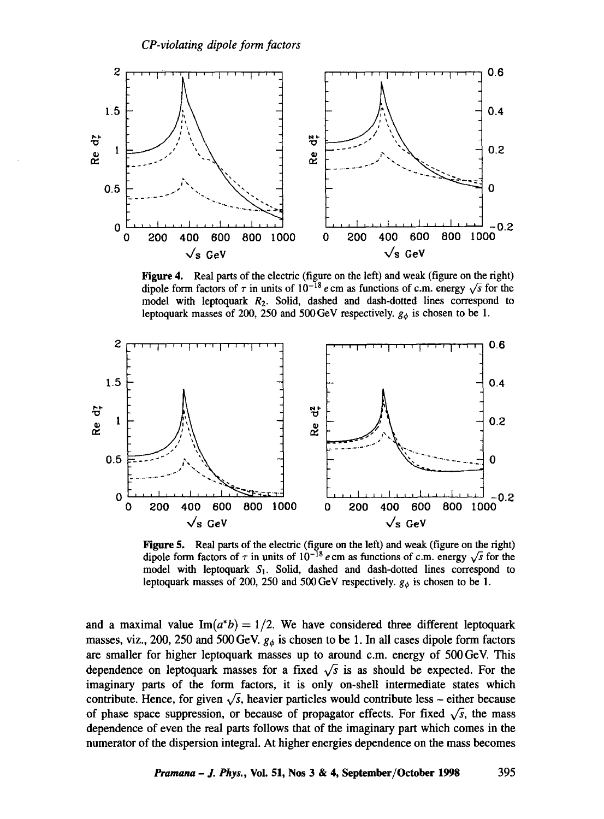

Figure 4. Real parts of the electric (figure on the left) and weak (figure on the right) dipole form factors of  $\tau$  in units of 10<sup>-18</sup> e cm as functions of c.m. energy  $\sqrt{s}$  for the model with leptoquark  $R_2$ . Solid, dashed and dash-dotted lines correspond to leptoquark masses of 200, 250 and 500 GeV respectively,  $g_{\phi}$  is chosen to be 1.



Figure 5. Real parts of the electric (figure on the left) and weak (figure on the right) dipole form factors of  $\tau$  in units of  $10^{-18}$  e cm as functions of c.m. energy  $\sqrt{s}$  for the model with leptoquark  $S_1$ . Solid, dashed and dash-dotted lines correspond to leptoquark masses of 200, 250 and 500 GeV respectively.  $g_{\phi}$  is chosen to be 1.

and a maximal value  $Im(a<sup>*</sup>b) = 1/2$ . We have considered three different leptoquark masses, viz., 200, 250 and 500 GeV.  $g_{\phi}$  is chosen to be 1. In all cases dipole form factors are smaller for higher leptoquark masses up to around c.m. energy of 500 GeV. This dependence on leptoquark masses for a fixed  $\sqrt{s}$  is as should be expected. For the imaginary parts of the form factors, it is only on-shell intermediate states which contribute. Hence, for given  $\sqrt{s}$ , heavier particles would contribute less – either because of phase space suppression, or because of propagator effects. For fixed  $\sqrt{s}$ , the mass dependence of even the real parts follows that of the imaginary part which comes in the numerator of the dispersion integral. At higher energies dependence on the mass becomes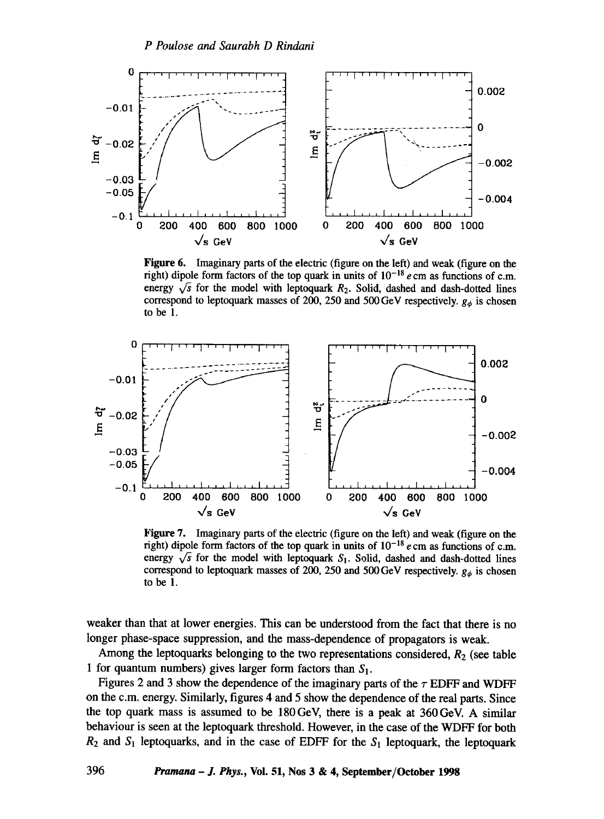

Figure 6. Imaginary parts of the electric (figure on the left) and weak (figure on the right) dipole form factors of the top quark in units of  $10^{-18}$  e cm as functions of c.m. energy  $\sqrt{s}$  for the model with leptoquark  $R_2$ . Solid, dashed and dash-dotted lines correspond to leptoquark masses of 200, 250 and 500 GeV respectively,  $g_{\phi}$  is chosen to be 1.



Figure 7. Imaginary parts of the electric (figure on the left) and weak (figure on the right) dipole form factors of the top quark in units of  $10^{-18}$  e cm as functions of c.m. energy  $\sqrt{s}$  for the model with leptoquark S<sub>1</sub>. Solid, dashed and dash-dotted lines correspond to leptoquark masses of 200, 250 and 500 GeV respectively.  $g_{\phi}$  is chosen to be 1.

weaker than that at lower energies. This can be understood from the fact that there is no longer phase-space suppression, and the mass-dependence of propagators is weak.

Among the leptoquarks belonging to the two representations considered,  $R_2$  (see table 1 for quantum numbers) gives larger form factors than  $S_1$ .

Figures 2 and 3 show the dependence of the imaginary parts of the  $\tau$  EDFF and WDFF on the c.m. energy. Similarly, figures 4 and 5 show the dependence of the real parts. Since the top quark mass is assumed to be 180GeV, there is a peak at 360GeV. A similar behaviour is seen at the leptoquark threshold. However, in the case of the WDFF for both  $R_2$  and  $S_1$  leptoquarks, and in the case of EDFF for the  $S_1$  leptoquark, the leptoquark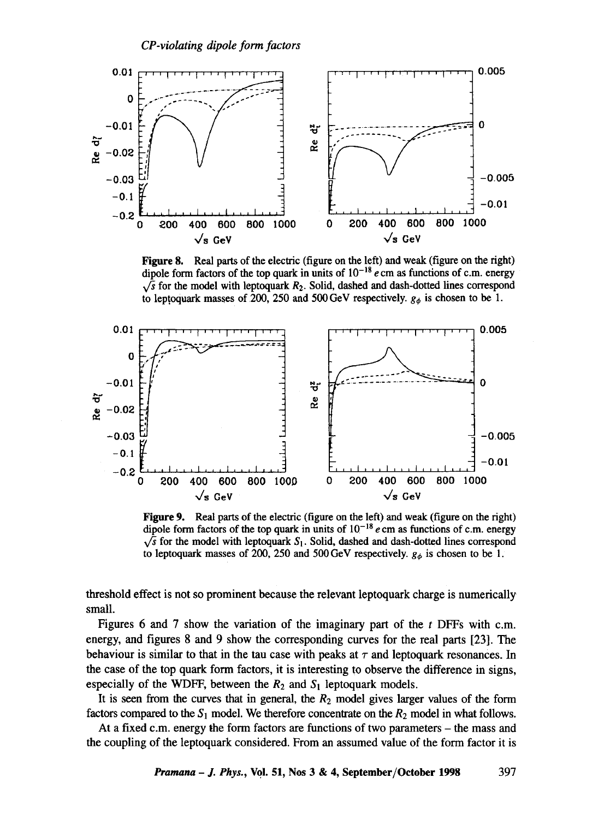

Figure 8. Real parts of the electric (figure on the left) and weak (figure on the right) dipole form factors of the top quark in units of  $10^{-18}$  e cm as functions of c.m. energy  $\sqrt{s}$  for the model with leptoquark  $R_2$ . Solid, dashed and dash-dotted lines correspond to leptoquark masses of 200, 250 and 500 GeV respectively.  $g_{\phi}$  is chosen to be 1.



Figure 9. Real parts of the electric (figure on the left) and weak (figure on the right) dipole form factors of the top quark in units of  $10^{-18}$  e cm as functions of c.m. energy  $\sqrt{s}$  for the model with leptoquark S<sub>1</sub>. Solid, dashed and dash-dotted lines correspond to leptoquark masses of 200, 250 and 500 GeV respectively.  $g_{\phi}$  is chosen to be 1.

threshold effect is not so prominent because the relevant leptoquark charge is numerically small.

Figures 6 and 7 show the variation of the imaginary part of the t DFFs with c.m. energy, and figures 8 and 9 show the corresponding curves for the real parts [23]. The behaviour is similar to that in the tau case with peaks at  $\tau$  and leptoquark resonances. In the case of the top quark form factors, it is interesting to observe the difference in signs, especially of the WDFF, between the  $R_2$  and  $S_1$  leptoquark models.

It is seen from the curves that in general, the  $R_2$  model gives larger values of the form factors compared to the  $S_1$  model. We therefore concentrate on the  $R_2$  model in what follows.

At a fixed c.m. energy the form factors are functions of two parameters - the mass and the coupling of the leptoquark considered. From an assumed value of the form factor it is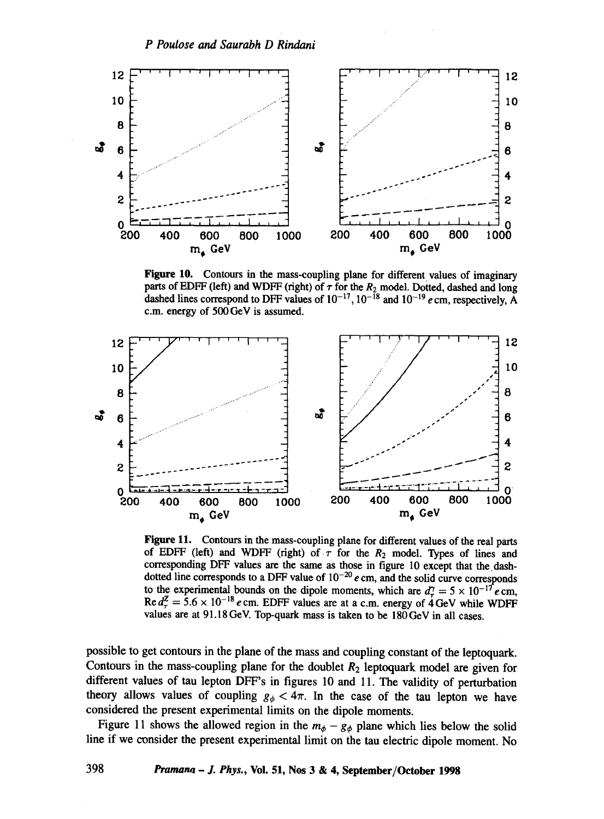

Figure 10. Contours in the mass-coupling plane for different values of imaginary parts of EDFF (left) and WDFF (right) of  $\tau$  for the  $R_2$  model. Dotted, dashed and long dashed lines correspond to DFF values of  $10^{-17}$ ,  $10^{-18}$  and  $10^{-19}$  e cm, respectively. A c.m. energy of 500 GeV is assumed.



Figure 11. Contours in the mass-coupling plane for different values of the real parts of EDFF (left) and WDFF (right) of  $\tau$  for the  $R_2$  model. Types of lines and corresponding DFF values are the same as those in figure 10 except that the dashdotted line corresponds to a DFF value of  $10^{-20}$  e cm, and the solid curve corresponds to the experimental bounds on the dipole moments, which are  $d^{\gamma} = 5 \times 10^{-17} e$  cm, Re  $d_{\tau}^{Z} = 5.6 \times 10^{-18} e$  cm. EDFF values are at a c.m. energy of 4 GeV while WDFF values are at 91.18 GeV. Top-quark mass is taken to be 180 GeV in all cases.

possible to get contours in the plane of the mass and coupling constant of the leptoquark. Contours in the mass-coupling plane for the doublet  $R_2$  leptoquark model are given for different values of tau lepton DFF's in figures 10 and 11. The validity of perturbation theory allows values of coupling  $g_{\phi} < 4\pi$ . In the case of the tau lepton we have considered the present experimental limits on the dipole moments.

Figure 11 shows the allowed region in the  $m_{\phi} - g_{\phi}$  plane which lies below the solid line if we consider the present experimental limit on the tau electric dipole moment. No

398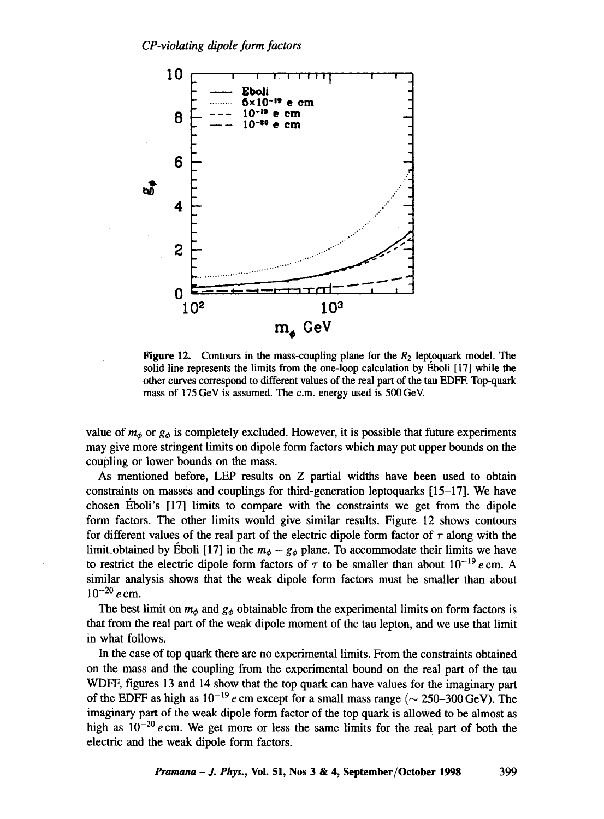

Figure 12. Contours in the mass-coupling plane for the  $R_2$  leptoquark model. The solid line represents the limits from the one-loop calculation by Eboli [17] while the other curves correspond to different values of the real part of the tau EDFF. Top-quark mass of 175 GeV is assumed. The c.m. energy used is 500 GeV.

value of  $m_{\phi}$  or  $g_{\phi}$  is completely excluded. However, it is possible that future experiments may give more stringent limits on dipole form factors which may put upper bounds on the coupling or lower bounds on the mass.

As mentioned before, LEP results on  $Z$  partial widths have been used to obtain constraints on masses and couplings for third-generation leptoquarks [15-17]. We have chosen  $\acute{E}$ boli's  $[17]$  limits to compare with the constraints we get from the dipole form factors. The other limits would give similar results. Figure 12 shows contours for different values of the real part of the electric dipole form factor of  $\tau$  along with the limit obtained by Éboli [17] in the  $m_{\phi} - g_{\phi}$  plane. To accommodate their limits we have to restrict the electric dipole form factors of  $\tau$  to be smaller than about  $10^{-19}$  e cm. A similar analysis shows that the weak dipole form factors must be smaller than about  $10^{-20}$  e cm.

The best limit on  $m_{\phi}$  and  $g_{\phi}$  obtainable from the experimental limits on form factors is that from the real part of the weak dipole moment of the tan lepton, and we use that limit in what follows.

In the case of top quark there are no experimental limits. From the constraints obtained on the mass and the coupling from the experimental bound on the real part of the tan WDFF, figures 13 and 14 show that the top quark can have values for the imaginary part of the EDFF as high as  $10^{-19}$  e cm except for a small mass range ( $\sim 250{\text -}300\,\text{GeV}$ ). The imaginary part of the weak dipole form factor of the top quark is allowed to be almost as high as  $10^{-20}$  e cm. We get more or less the same limits for the real part of both the electric and the weak dipole form factors.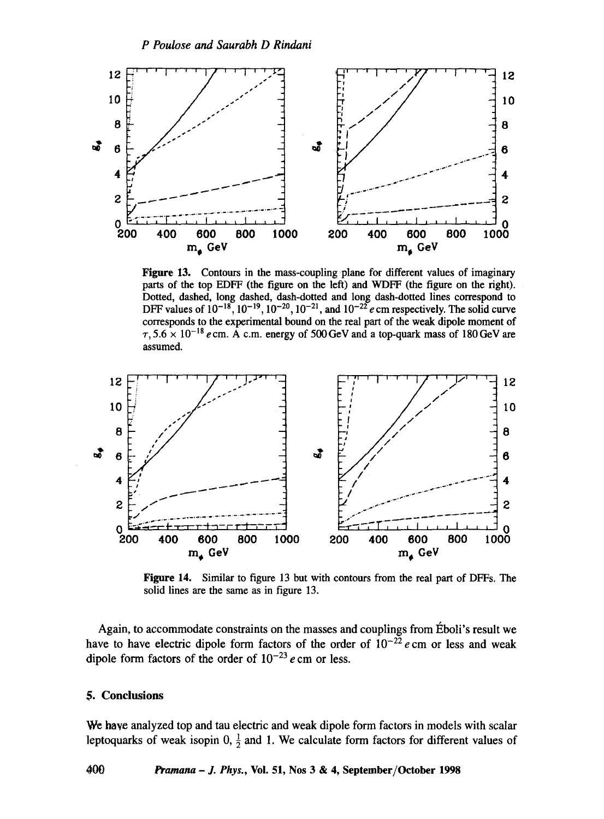

Figure 13. Contours in the mass-coupling plane for different values of imaginary parts of the top EDFF (the figure on the left) and WDFF (the figure on the right). Dotted, dashed, long dashed, dash-dotted and long dash-dotted lines correspond to DFF values of  $10^{-18}$ ,  $10^{-19}$ ,  $10^{-20}$ ,  $10^{-21}$ , and  $10^{-22}$  e cm respectively. The solid curve corresponds to the experimental bound on the real part of the weak dipole moment of  $\tau$ ,  $5.6 \times 10^{-18}$  e cm. A c.m. energy of 500 GeV and a top-quark mass of 180 GeV are assumed.



Figure 14. Similar to figure 13 but with contours from the real part of DFFs. The solid lines are the same as in figure 13.

Again, to accommodate constraints on the masses and couplings from Éboli's result we have to have electric dipole form factors of the order of  $10^{-22}$  e cm or less and weak dipole form factors of the order of  $10^{-23}$  e cm or less.

#### 5. Conclusions

400

We have analyzed top and tau electric and weak dipole form factors in models with scalar leptoquarks of weak isopin 0,  $\frac{1}{2}$  and 1. We calculate form factors for different values of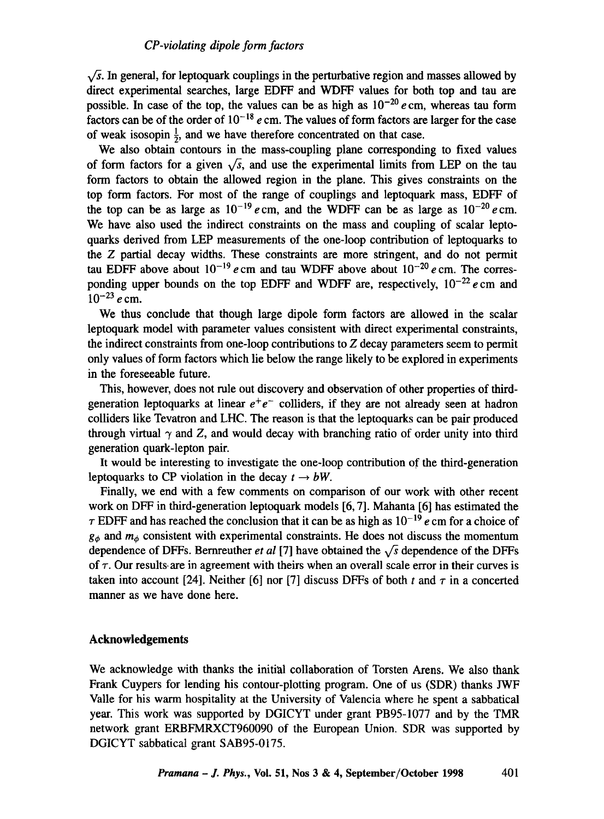$\sqrt{s}$ . In general, for leptoquark couplings in the perturbative region and masses allowed by direct experimental searches, large EDFF and WDFF values for both top and tan are possible. In case of the top, the values can be as high as  $10^{-20}$  e cm, whereas tau form factors can be of the order of  $10^{-18}$  e cm. The values of form factors are larger for the case of weak isosopin  $\frac{1}{2}$ , and we have therefore concentrated on that case.

We also obtain contours in the mass-coupling plane corresponding to fixed values of form factors for a given  $\sqrt{s}$ , and use the experimental limits from LEP on the tau form factors to obtain the allowed region in the plane. This gives constraints on the top form factors. For most of the range of couplings and leptoquark mass, EDFF of the top can be as large as  $10^{-19}$  e cm, and the WDFF can be as large as  $10^{-20}$  e cm. We have also used the indirect constraints on the mass and coupling of scalar leptoquarks derived from LEP measurements of the one-loop contribution of leptoquarks to the Z partial decay widths. These constraints are more stringent, and do not permit tau EDFF above about  $10^{-19}$  e cm and tau WDFF above about  $10^{-20}$  e cm. The corresponding upper bounds on the top EDFF and WDFF are, respectively,  $10^{-22}$  e cm and  $10^{-23}$  e cm.

We thus conclude that though large dipole form factors are allowed in the scalar leptoquark model with parameter values consistent with direct experimental constraints, the indirect constraints from one-loop contributions to Z decay parameters seem to permit only values of form factors which lie below the range likely to be explored in experiments in the foreseeable future.

This, however, does not rule out discovery and observation of other properties of thirdgeneration leptoquarks at linear  $e^+e^-$  colliders, if they are not already seen at hadron colliders like Tevatron and LHC. The reason is that the leptoquarks can be pair produced through virtual  $\gamma$  and Z, and would decay with branching ratio of order unity into third generation quark-lepton pair.

It would be interesting to investigate the one-loop contribution of the third-generation leptoquarks to CP violation in the decay  $t \rightarrow bW$ .

Finally, we end with a few comments on comparison of our work with other recent work on DFF in third-generation leptoquark models [6, 7]. Mahanta [6] has estimated the  $\tau$  EDFF and has reached the conclusion that it can be as high as  $10^{-19}$  e cm for a choice of  $g_{\phi}$  and  $m_{\phi}$  consistent with experimental constraints. He does not discuss the momentum dependence of DFFs. Bernreuther *et al* [7] have obtained the  $\sqrt{s}$  dependence of the DFFs of  $\tau$ . Our results are in agreement with theirs when an overall scale error in their curves is taken into account [24]. Neither [6] nor [7] discuss DFFs of both t and  $\tau$  in a concerted manner as we have done here.

## **Acknowledgements**

We acknowledge with thanks the initial collaboration of Torsten Arens. We also thank Frank Cuypers for lending his contour-plotting program. One of us (SDR) thanks JWF Valle for his warm hospitality at the University of Valencia where he spent a sabbatical year. This work was supported by DGICYT under grant PB95-1077 and by the TMR network grant ERBFMRXCT960090 of the European Union. SDR was supported by DGICYT sabbatical grant SAB95-0175.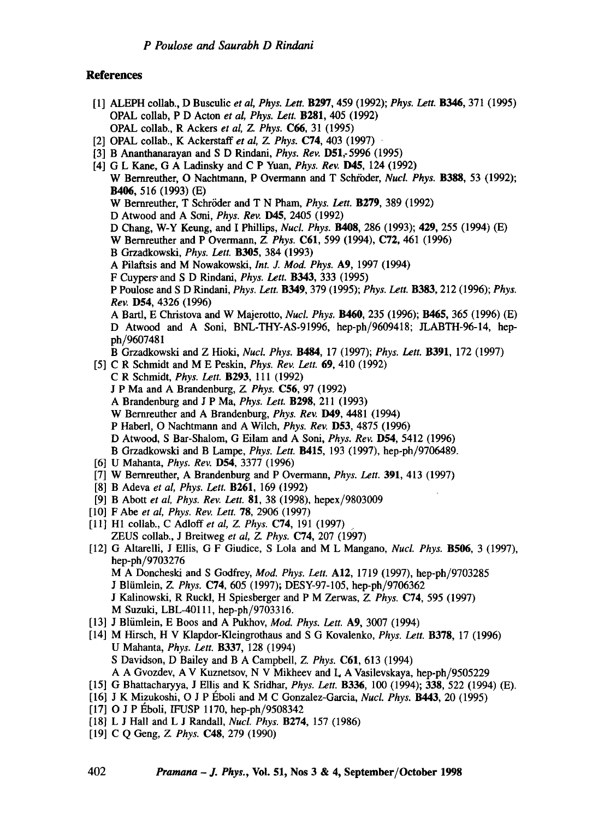#### **References**

- [1] ALEPH collab., D Busculic *et al, Phys. Lett.* B297, 459 (1992); *Phys. Lett.* B346, 371 (1995) OPAL collab, P D Acton *et al, Phys. Lett.* B281, 405 (1992) OPAL collab., RAckers *et al, Z. Phys.* C66, 31 (1995)
- [2] OPAL collab., K Ackerstaff *et al, Z Phys.* C74, 403 (1997)
- [3] B Ananthanarayan and S D Rindani, *Phys. Rev.* D51,-5996 (1995)
- [4] G L Kane, G A Ladinsky and C P Yuan, *Phys. Rev.* D45, 124 (1992) W Bernreuther, O Nachtmann, P Overmann and T Schröder, *Nucl. Phys.* **B388**, 53 (1992); **B406,** 516 (1993) **(E)**  W Bernreuther, T Schröder and T N Pham, *Phys. Lett.* **B279**, 389 (1992) D Atwood and A Soni, *Phys. Rev.* **D45**, 2405 (1992) D Chang, W-Y Keung, and I Phillips, *Nucl. Phys.* B408, 286 (1993); **429,** 255 (1994) (E) W Bernreuther and P Overmann, *Z. Phys.* C61, 599 (1994), C72, 461 (1996) B Grzadkowski, *Phys. Lett.* B305, 384 (1993) A Pilaftsis and M Nowakowski, *Int. J. Mod. Phys.* A9, 1997 (1994) F Cuypers" and S D Rindani, *Phys. Lett.* B343, 333 (1995) P Poulose and S D Rindani, *Phys. Lett.* B349, 379 (1995); *Phys. Lett.* B383, 212 (1996); *Phys. Rev.* D54, 4326 (1996) A Bartl, E Christova and W Majerotto, *Nucl. Phys.* B460, 235 (1996); B465, 365 (1996) (E) **D** Atwood and A Soni, BNL-THY-AS-91996, hep-ph/9609418; JLABTH-96-14, hepph/9607481 B Grzadkowski and Z Hioki, *Nucl. Phys.* B484, 17 (1997); *Phys. Lett.* B391, 172 (1997) [5] C R Schmidt and M E Peskin, *Phys. Rev. Lett.* 69, 410 (1992) C R Schmidt, *Phys. Lett.* B293, 111 (1992) J P Ma and A Brandenburg, *Z. Phys.* C56, 97 (1992) A Brandenburg and J P Ma, *Phys. Lett.* B298, 211 (1993) W Bernreuther and A Brandenburg, *Phys. Rev.* **D49**, 4481 (1994) P Habed, O Nachtmann and A Wilch, *Phys. Rev.* D53, 4875 (1996) D Atwood, S Bar-Shalom, G Eilam and A Soni, *Phys. Rev.* D54, 5412 (1996) B Grzadkowski and B Lampe, *Phys. Lett.* B415, 193 (1997), hep-ph/9706489. [6] U Mahanta, *Phys. Rev.* D54, 3377 (1996) [7] W Bernreuther, A Brandenburg and P Overmann, *Phys. Left.* 391, 413 (1997) [8] B Adeva *et al, Phys. Lett.* B261, 169 (1992) [9] B Abott *et al, Phys. Rev. Lett.* 81, 38 (1998), hepex/9803009 [10] F Abe *et al, Phys. Rev. Lett.* 78, 2906 (1997) [11] H1 collab., C Adloff et al, Z. Phys. **C74**, 191 (1997). ZEUS collab., J Breitweg *et al, Z. Phys.* C74, 207 (1997) [12] G Altarelli, J Ellis, G F Giudice, S Lola and M L Mangano, *Nucl. Phys.* B506, 3 (1997), hep-ph/9703276 M A Doncheski and S Godfrey, *Mod. Phys. Lett.* A12, 1719 (1997), hep-ph/9703285 J Bliimlein, *Z. Phys.* C74, 605 (1997); DESY-97-105, hep-ph/9706362 J Kalinowski, R Ruckl, H Spiesberger and P M Zerwas, *Z. Phys.* C74, 595 (1997) M Suzuki, LBL-40111, hep-ph/9703316. [13] J Bliimlein, E Boos and A Pukhov, *Mod. Phys. Lett.* Ag, 3007 (1994) [14] M Hirsch, H V Klapdor-Kleingrothaus and S G Kovalenko, *Phys. Lett.* B378, 17 (1996) U Mahanta, *Phys. Lett.* B337, 128 (1994) S Davidson, D Bailey and B A Campbell, *Z. Phys.* C61, 613 (1994) A A Gvozdev, A V Kuznetsov, N V Mikheev and L A Vasilevskaya, hep-ph/9505229
- [15] G Bhattacharyya, J Ellis and K Sridhar, *Phys. Lett.* B336, 100 (1994); 338, 522 (1994) (E).
- [16] J K Mizukoshi, O J P I~boli and M C Gonzalez-Garcia, *Nucl. Phys.* B443, 20 (1995)
- $[17]$  O J P Eboli, IFUSP 1170, hep-ph/9508342
- [18] L J Hall and L J Randall, *Nucl. Phys.* B274, 157 (1986)
- [19] C Q Geng, *Z. Phys.* C48, 279 (1990)